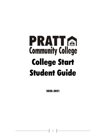# PRATIG **Community College** College Start Student Guide

2020-2021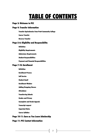### TABLE OF CONTENTS

#### Page 3: Welcome to PCC

#### Page 4: Transfer Information

Transfer Equivalencies from Pratt Community College

Course Transfer

Reverse Transfer

#### Page 5-6: Eligibility and Responsibility

**Definition** 

Eligibility Requirements

Admissions Requirements

Student Responsibilities

Payment and Financial Responsibilities

#### Page 7-10: Enrollment

**Definition** 

Enrollment Process

Self Service

Student Email

Enrollment Window

Adding/Dropping Classes

**Attendance** 

Transferring Schools

Grades and Privacy

Incomplete and Grade Appeals

Transcript request

Important Dates

Course Syllabus

#### Page 10-11: Earn as You Learn Scholarship

#### Page 11: PCC Contact Information

 $\begin{bmatrix} 2 \end{bmatrix}$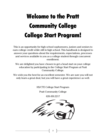# Welcome to the Pratt Community College College Start Program!

This is an opportunity for high school sophomores, juniors and seniors to earn college credit while still in high school. This handbook is designed to answer your questions about the requirements, expectations, processes and services available to you as a college student through concurrent enrollment.

We are delighted you have chosen to get a head start on your college education by participating in the College Start Program at Pratt Community College.

We wish you the best for an excellent semester. We are sure you will not only learn a great deal, but you will have a great experience as well.

HS/CTE College Start Program

Pratt Community College

620.450.2217

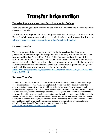# Transfer Information

#### **Transfer Equivalencies from Pratt Community College**

If you are planning to attend another college after PCC, you will need to know how your classes will transfer.

Kansas Board of Regents has taken the guess work out of college transfer within the Kansas' public community colleges, technical college and universities listed at [http://www.kansasregents.org/academic\\_affairs/transfer-articulation.](http://www.kansasregents.org/academic_affairs/transfer-articulation)

#### **Course Transfer**

There is a growing list of courses approved by the Kansas Board of Regents for guaranteed transfer among all Kansas public postsecondary institutions. From College Algebra and English Composition I & II, to Public Speaking and Art History I & II, a student who completes a course listed as a guaranteed transfer course at any Kansas public community college, technical college, or university can be certain that he or she can transfer that course to any other Kansas public institution in pursuit of a degree or credential. The system wide course matrix can be found at [http://www.kansasregents.org/resources/PDF/Academic\\_Affairs/TAAC/FY\\_2015/KRSN\\_](http://www.kansasregents.org/resources/PDF/Academic_Affairs/TAAC/FY_2015/KRSN_Matrix_5-2017.pdf) Matrix 5-2017.pdf

#### **Reverse Transfer**

Students who transfer to a Kansas public university from a Kansas public community college or technical college (or vice versa) are eligible for Reverse Transfer, which allows for the attainment of any associate degree for which one is eligible along the way to additional certificates and degrees. Within a student's first semester, those who transfer coursework from a public university, community college or technical college will be notified if they are eligible to be considered for reverse transfer degree status, and which courses are needed to finish the related degree. Students who then complete the coursework for a given associate degree will be eligible to receive that degree, administered automatically by correspondence between the new institution and the university, community college or technical college the student last attended. For additional information about transfer courses visit: [http://www.kansasregents.org/transfer\\_articulation](http://www.kansasregents.org/transfer_articulation)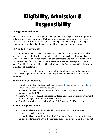# Eligibility, Admission & Responsibility

#### **College Start Definition**

A College Start course is a college course taught either at a high school, through Pratt Online, or on a Pratt Community College campus by a college approved instructor. These college courses can be accepted by the high school to satisfy specific high school requirements, but at the discretion of the high school administration.

#### **Eligibility Requirements**

Students wishing to take advantage of College Start enrollment opportunities must be in grades 10, 11 or 12. A student in grade 9, who has been designated as "gifted", may enroll only upon submission of a completed and current Individualized Educational Plan (IEP) which includes a recommendation for college enrollment as part of the IEP. A student's IEP must be submitted to the College Start Office before, or at the time of, enrollment.

All students must be approved for enrollment and meet required placement test scores for college admission. The high school principal must authorize the student's enrollment.

#### **Admission Requirements**

- 1. Complete a College Start Application at [http://prattcc.edu/department/college](http://prattcc.edu/department/college-start-college-credit-high-school-students)[start-college-credit-high-school-students](http://prattcc.edu/department/college-start-college-credit-high-school-students)
- 2. Access Self Service account and enroll in Self Service Reset Password Management (SSRPM)
- 3. Submit Accuplacer or ACT scores for any Math, English or Chemistry enrollment
- 4. Submit College Start Parent Permission Form
- 5. Complete enrollment through student's Self Service or EduKan account

#### **Student Responsibilities**

- The student is responsible for all tuition, fees, textbooks and supplies for courses in which they enroll.
- The student is responsible for dropping/withdrawing from a course by the stated college deadline, using either the provided drop form or via email, if they do not

 $5 \quad \}$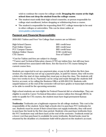wish to continue the course for college credit. **Dropping the course at the high school does not drop the student from the college course**.

- The student must notify their high school counselor, or person responsible for college start enrollment, before dropping or withdrawing from a course.
- The student is responsible for requesting their PCC college transcript to be sent to other colleges or universities. This can be done online at [www.prattcc.edu/transcript](http://www.prattcc.edu/transcript)

#### **Payment and Financial Responsibility**

2020-2021 Tuition and Fees\* for College Start courses are as follows:

| High School Classes          | \$89/ credit hour  |
|------------------------------|--------------------|
| <b>Pratt Online Classes</b>  | \$89/ credit hour  |
| <b>PCC Campus Classes</b>    | \$89/ credit hour  |
| <b>Edukan Online Classes</b> | \$150/ credit hour |
| <b>CTE Classes</b>           | Free of Tuition**  |

\*Cost for Tuition and fees are subject to change.

\*\*Career and Technical Education classes (CTE) are tuition free, but still may have some minimal fees associated with them. See the Excel in CTE course listing for current course fees.

Students are expected to set up a payment plan, or pay in full, before the first class session. If a student has not set up a payment plan, or paid for classes, they will receive a letter after the start of class stating they must pay or drop the class. The students will have two weeks to do so. Payments can be setup and made through the students Self Service account, or by calling the Business Office at 620.450.2134. Students with unpaid balances at the end of the semester will not have grades or transcripts released or be able to enroll for the upcoming semester.

High school students are not eligible for Federal Financial Aid or scholarships. They are eligible to enroll in Career Technical Education courses tuition free through SB155. In order to qualify for CTE courses, the student must have legal permanent Kansas residency.

**Textbooks:** Textbooks are a legitimate expense for all college students. This cost is the responsibility of the student. Some high schools elect to purchase PCC textbooks for use. Students must be aware if their school does not supply textbooks, they will need to purchase the book by the first class period. Students who purchase textbooks from the PCC bookstore may sell them back at the end of the semester. Textbook rental (at a lower cost than purchase) is available for some textbooks. Rental books must be returned by the deadline or a bookstore hold will be placed on the student's account.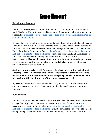## Enrollment

#### **Enrollment Process**

Students must complete placement (ACT or ACCUPLACER) prior to enrollment in math, English or Chemistry with qualifying scores. Placement testing information can be found at [http://prattcc.edu/college-start-college-credit-high-school-students/college](http://prattcc.edu/college-start-college-credit-high-school-students/college-start-placement-scores)[start-placement-scores](http://prattcc.edu/college-start-college-credit-high-school-students/college-start-placement-scores) .

College Start enrollment must be completed online through the student's Self-Service account. Before a student is given access to enroll, a College Start Parent Permission form must be completed and submitted to the College Start office. The College Start Parent Permission form can be found at [http://prattcc.edu/college-start-college-credit](http://prattcc.edu/college-start-college-credit-high-school-students/college-start-forms)[high-school-students/college-start-forms.](http://prattcc.edu/college-start-college-credit-high-school-students/college-start-forms) Permission from the High School Principal and Counselor will be obtained by the Director of HS/CTE College Start. Students with holds on their account (owe money or have not returned rental books from prior semesters) will not be allowed to enroll. Full payment must be received before enrollment can be opened.

**Students cannot receive credit for courses they have taken in the past without enrolling. There is no "retroactive" credit. A student must enroll in the course before the end of the enrollment window (see policy below), or with instructor permission within the first week of the course, to receive credit.** 

High school enrollment dates and deadlines may not be the same as those for PCC concurrent courses, but the college dates and deadlines will apply to concurrent courses.

#### **Self-Service**

Students will be given initial access to their Self-Service accounts to enroll after their College Start Application has been processed. Instructions for enrollment and password resets can be found online at [http://prattcc.edu/college-start-college-credit](http://prattcc.edu/college-start-college-credit-high-school-students/college-start-forms)[high-school-students/college-start-forms.](http://prattcc.edu/college-start-college-credit-high-school-students/college-start-forms) Instructions will also be provided to students during College Start enrollment session held at their high school each semester.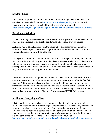#### **Student Email**

Each student is provided a prattcc.edu email address through Office365. Access to email accounts can be found at [http://prattcc.edu/about-pcc/login.](http://prattcc.edu/about-pcc/login) Instructions for logging in can be found on Step 9 of the Self Service Setup Guide at <http://prattcc.edu/college-start-college-credit-high-school-students/college-start-forms>

#### **Enrollment Window**

Pratt Community College believes class attendance is important to student success. All students are expected to be enrolled and attend all sessions of every course.

A student may add a class only with the approval of the class instructor, and the student's advisor, up to five business days after the start date of the class\*. After that point, no late enrollment will be allowed.

If a registered student has not attended at least once during the window, the student may be administratively dropped from the class. Students enrolled in an online course who do not show evidence of class participation (completion of first assignment, participation in initial discussion boards, etc.) within five business days of the start date may be administratively dropped from the course.

Full semester courses, dropped within the first full week after the first day of PCC oncampus classes, will be refunded at 100 percent. Courses dropped after the first full week of PCC on-campus classes will not be refunded. If personal circumstances warrant exceptions from the published tuition and fee refund policy, a student may seek a written waiver. The refund date can be found the Learning Calendar and will be provided each semester by the Director of Admissions & HS/CTE College Start.

#### **Adding or Dropping a Class**

It is the student's responsibility to drop a course. High School students who add or drop courses should make sure the high school counselor is aware of any changes the student is making in his/her schedule and that appropriate approvals are in place. Students who do not drop a course and fail to attend or submit work will receive the grade they earn for the course. A drop form must be completed and submitted to the College Start office. The College Start drop form can be found at <http://prattcc.edu/college-start-college-credit-high-school-students/college-start-forms>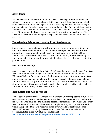#### **Attendance**

Regular class attendance is important for success in college classes. Students who miss class for numerous high school activities may benefit from taking regular high school classes rather than college classes due to the higher level of academic rigor and expectations for college courses. The attendance policy for students is set by the instructor and is included on the course syllabus that is handed out on the first day of class. Students should discuss any absence with their instructor in advance of the absence as this may affect their grade. High school activities are not automatically excused.

#### **Transferring Schools or Leaving Pratt Service Area**

Students who change schools during the semester can sometimes be switched to a concurrent course at their new school if there is a comparable one. As this is not always the case, appropriate transfers will be considered on an individual basis. Students who transfer out of the Pratt CC Service Area during the semester may drop the course before the drop/withdrawal date deadline; otherwise they will receive the grade earned.

#### **Grades and Privacy**

Students access their grades through the Self-Service in the sites gradebook. Parents of high school students are not given access to the online system due to Federal Education Rights to Privacy Act laws which guarantee privacy of student information and release to a third party, including the student's parents. Students must not give their ID/password to anyone**.** Instructors of college courses are not allowed to discuss student matters with parents unless the student has completed a Consent to Release Information form through the Office of Admissions.

#### **Incomplete and Grade Appeal**

Under certain circumstances, an instructor may grant an "incomplete" to a student for one semester, e.g.--extended hospitalization or illness. An incomplete is not allowed for students who have failed to meet the deadlines for regular course work and simply want "more time". A student who does not complete the agreed upon coursework within the specified time will receive a grade of "F". Grade appeals can be made within 120 days of completing the course, and must follow the established PCC procedure, listed in the PCC Student Handbook at:

<http://prattcc.edu/sites/default/files/pdfs/student-handbook-20162017.pdf>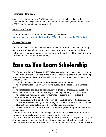#### **Transcript Requests**

Students must request their PCC transcripts to be sent to other colleges after high school graduation. High school transcripts do not reflect college credit hours. There is a \$12.00 fee for each transcript requested.

#### **Important Dates**

Important dates can be found in the Learning Calendar at [http://prattcc.edu/sites/default/files/pdfs/20182019-learning-calendar-12318\\_0.pdf](http://prattcc.edu/sites/default/files/pdfs/20182019-learning-calendar-12318_0.pdf)

#### **Course Syllabus**

Each course has a syllabus which outlines course requirements, expected learning outcomes, grading and attendance policies each student is expected to follow. Instructors are required to review this document with students at the beginning of the course to ensure student understanding.

### Earn as You Learn Scholarship

The Earn as You Learn Scholarship (EYLS) is awarded to each student who earns an "A" or "B" in a College Start class. Up to nine (9) scholarship credits may be earned per semester. Each credit hour of scholarship earned will be credited to the student's account at Pratt

Community College. Guidelines for the scholarship are as follows.

1. The student must receive an "A" or "B" to qualify for the credits. No other grades qualify.

2. The **scholarship can only be used once you graduate from high school**. Per federal law, a person may not receive any scholarships as a high school student. 3. The scholarship may not be used for summer or evening classes before the

student's graduation from high school.

4. The tuition credits will expire two (2) years after the high school graduation date. 5. This earned scholarship may be used at any PCC site for any type of class. The EYLS credits must be applied before any other scholarships are applied.

6. The EYLS awards are not transferable. The award is good through Pratt Community College only.

7. Students are responsible for all College Start costs and for all summer and/or full time enrollment costs which are not covered by the scholarship.

The Earn as You Learn Scholarship Program was established to help provide a way for students to earn a substantial portion of their own college education costs, to serve as an incentive for students to achieve their best academic performance, and to provide a